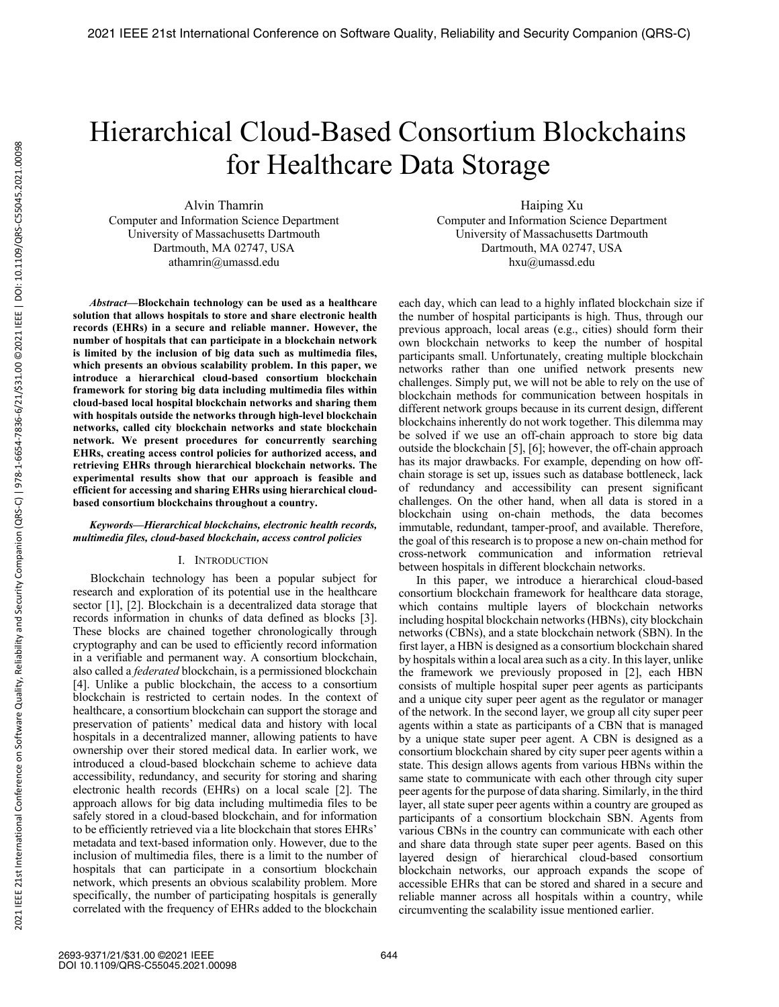# Hierarchical Cloud-Based Consortium Blockchains for Healthcare Data Storage

Alvin Thamrin Computer and Information Science Department University of Massachusetts Dartmouth Dartmouth, MA 02747, USA athamrin@umassd.edu

*Abstract***—Blockchain technology can be used as a healthcare solution that allows hospitals to store and share electronic health records (EHRs) in a secure and reliable manner. However, the number of hospitals that can participate in a blockchain network is limited by the inclusion of big data such as multimedia files, which presents an obvious scalability problem. In this paper, we introduce a hierarchical cloud-based consortium blockchain framework for storing big data including multimedia files within cloud-based local hospital blockchain networks and sharing them with hospitals outside the networks through high-level blockchain networks, called city blockchain networks and state blockchain network. We present procedures for concurrently searching EHRs, creating access control policies for authorized access, and retrieving EHRs through hierarchical blockchain networks. The experimental results show that our approach is feasible and efficient for accessing and sharing EHRs using hierarchical cloudbased consortium blockchains throughout a country.**

# *Keywords—Hierarchical blockchains, electronic health records, multimedia files, cloud-based blockchain, access control policies*

# I. INTRODUCTION

Blockchain technology has been a popular subject for research and exploration of its potential use in the healthcare sector [1], [2]. Blockchain is a decentralized data storage that records information in chunks of data defined as blocks [3]. These blocks are chained together chronologically through cryptography and can be used to efficiently record information in a verifiable and permanent way. A consortium blockchain, also called a *federated* blockchain, is a permissioned blockchain [4]. Unlike a public blockchain, the access to a consortium blockchain is restricted to certain nodes. In the context of healthcare, a consortium blockchain can support the storage and preservation of patients' medical data and history with local hospitals in a decentralized manner, allowing patients to have ownership over their stored medical data. In earlier work, we introduced a cloud-based blockchain scheme to achieve data accessibility, redundancy, and security for storing and sharing electronic health records (EHRs) on a local scale [2]. The approach allows for big data including multimedia files to be safely stored in a cloud-based blockchain, and for information to be efficiently retrieved via a lite blockchain that stores EHRs' metadata and text-based information only. However, due to the inclusion of multimedia files, there is a limit to the number of hospitals that can participate in a consortium blockchain network, which presents an obvious scalability problem. More specifically, the number of participating hospitals is generally correlated with the frequency of EHRs added to the blockchain

Haiping Xu Computer and Information Science Department University of Massachusetts Dartmouth Dartmouth, MA 02747, USA hxu@umassd.edu

each day, which can lead to a highly inflated blockchain size if the number of hospital participants is high. Thus, through our previous approach, local areas (e.g., cities) should form their own blockchain networks to keep the number of hospital participants small. Unfortunately, creating multiple blockchain networks rather than one unified network presents new challenges. Simply put, we will not be able to rely on the use of blockchain methods for communication between hospitals in different network groups because in its current design, different blockchains inherently do not work together. This dilemma may be solved if we use an off-chain approach to store big data outside the blockchain [5], [6]; however, the off-chain approach has its major drawbacks. For example, depending on how offchain storage is set up, issues such as database bottleneck, lack of redundancy and accessibility can present significant challenges. On the other hand, when all data is stored in a blockchain using on-chain methods, the data becomes immutable, redundant, tamper-proof, and available. Therefore, the goal of this research is to propose a new on-chain method for cross-network communication and information retrieval between hospitals in different blockchain networks.

In this paper, we introduce a hierarchical cloud-based consortium blockchain framework for healthcare data storage, which contains multiple layers of blockchain networks including hospital blockchain networks (HBNs), city blockchain networks (CBNs), and a state blockchain network (SBN). In the first layer, a HBN is designed as a consortium blockchain shared by hospitals within a local area such as a city. In this layer, unlike the framework we previously proposed in [2], each HBN consists of multiple hospital super peer agents as participants and a unique city super peer agent as the regulator or manager of the network. In the second layer, we group all city super peer agents within a state as participants of a CBN that is managed by a unique state super peer agent. A CBN is designed as a consortium blockchain shared by city super peer agents within a state. This design allows agents from various HBNs within the same state to communicate with each other through city super peer agents for the purpose of data sharing. Similarly, in the third layer, all state super peer agents within a country are grouped as participants of a consortium blockchain SBN. Agents from various CBNs in the country can communicate with each other and share data through state super peer agents. Based on this layered design of hierarchical cloud-based consortium blockchain networks, our approach expands the scope of accessible EHRs that can be stored and shared in a secure and reliable manner across all hospitals within a country, while circumventing the scalability issue mentioned earlier.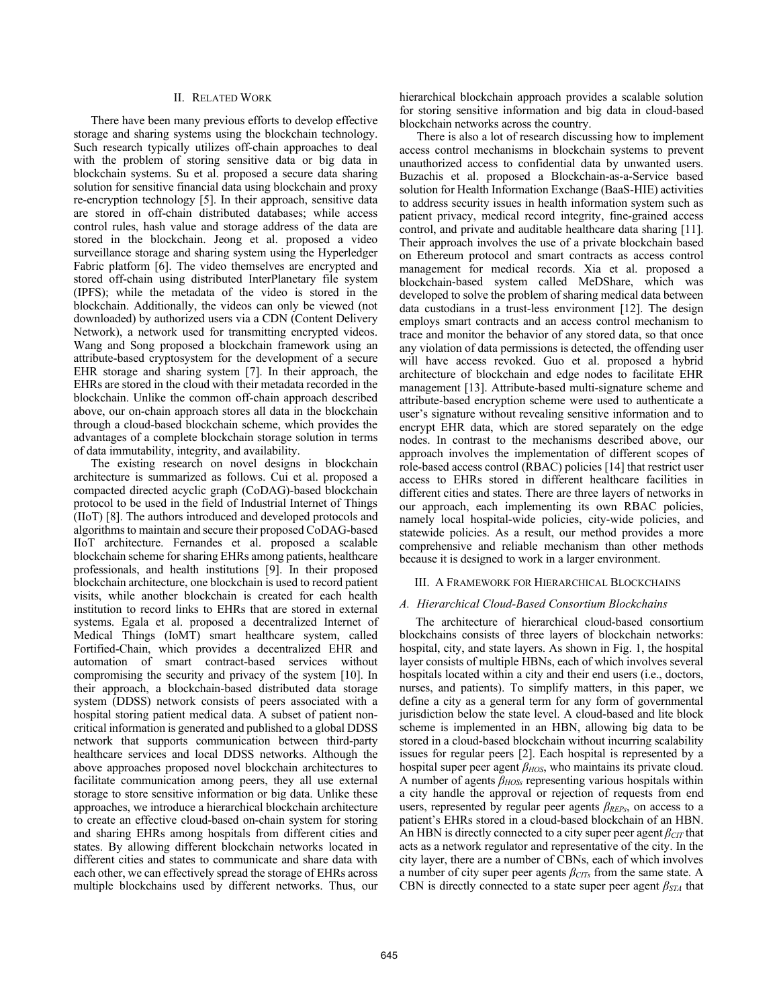# II. RELATED WORK

There have been many previous efforts to develop effective storage and sharing systems using the blockchain technology. Such research typically utilizes off-chain approaches to deal with the problem of storing sensitive data or big data in blockchain systems. Su et al. proposed a secure data sharing solution for sensitive financial data using blockchain and proxy re-encryption technology [5]. In their approach, sensitive data are stored in off-chain distributed databases; while access control rules, hash value and storage address of the data are stored in the blockchain. Jeong et al. proposed a video surveillance storage and sharing system using the Hyperledger Fabric platform [6]. The video themselves are encrypted and stored off-chain using distributed InterPlanetary file system (IPFS); while the metadata of the video is stored in the blockchain. Additionally, the videos can only be viewed (not downloaded) by authorized users via a CDN (Content Delivery Network), a network used for transmitting encrypted videos. Wang and Song proposed a blockchain framework using an attribute-based cryptosystem for the development of a secure EHR storage and sharing system [7]. In their approach, the EHRs are stored in the cloud with their metadata recorded in the blockchain. Unlike the common off-chain approach described above, our on-chain approach stores all data in the blockchain through a cloud-based blockchain scheme, which provides the advantages of a complete blockchain storage solution in terms of data immutability, integrity, and availability.

The existing research on novel designs in blockchain architecture is summarized as follows. Cui et al. proposed a compacted directed acyclic graph (CoDAG)-based blockchain protocol to be used in the field of Industrial Internet of Things (IIoT) [8]. The authors introduced and developed protocols and algorithms to maintain and secure their proposed CoDAG-based IIoT architecture. Fernandes et al. proposed a scalable blockchain scheme for sharing EHRs among patients, healthcare professionals, and health institutions [9]. In their proposed blockchain architecture, one blockchain is used to record patient visits, while another blockchain is created for each health institution to record links to EHRs that are stored in external systems. Egala et al. proposed a decentralized Internet of Medical Things (IoMT) smart healthcare system, called Fortified-Chain, which provides a decentralized EHR and automation of smart contract-based services without compromising the security and privacy of the system [10]. In their approach, a blockchain-based distributed data storage system (DDSS) network consists of peers associated with a hospital storing patient medical data. A subset of patient noncritical information is generated and published to a global DDSS network that supports communication between third-party healthcare services and local DDSS networks. Although the above approaches proposed novel blockchain architectures to facilitate communication among peers, they all use external storage to store sensitive information or big data. Unlike these approaches, we introduce a hierarchical blockchain architecture to create an effective cloud-based on-chain system for storing and sharing EHRs among hospitals from different cities and states. By allowing different blockchain networks located in different cities and states to communicate and share data with each other, we can effectively spread the storage of EHRs across multiple blockchains used by different networks. Thus, our

hierarchical blockchain approach provides a scalable solution for storing sensitive information and big data in cloud-based blockchain networks across the country.

There is also a lot of research discussing how to implement access control mechanisms in blockchain systems to prevent unauthorized access to confidential data by unwanted users. Buzachis et al. proposed a Blockchain-as-a-Service based solution for Health Information Exchange (BaaS-HIE) activities to address security issues in health information system such as patient privacy, medical record integrity, fine-grained access control, and private and auditable healthcare data sharing [11]. Their approach involves the use of a private blockchain based on Ethereum protocol and smart contracts as access control management for medical records. Xia et al. proposed a blockchain-based system called MeDShare, which was developed to solve the problem of sharing medical data between data custodians in a trust-less environment [12]. The design employs smart contracts and an access control mechanism to trace and monitor the behavior of any stored data, so that once any violation of data permissions is detected, the offending user will have access revoked. Guo et al. proposed a hybrid architecture of blockchain and edge nodes to facilitate EHR management [13]. Attribute-based multi-signature scheme and attribute-based encryption scheme were used to authenticate a user's signature without revealing sensitive information and to encrypt EHR data, which are stored separately on the edge nodes. In contrast to the mechanisms described above, our approach involves the implementation of different scopes of role-based access control (RBAC) policies [14] that restrict user access to EHRs stored in different healthcare facilities in different cities and states. There are three layers of networks in our approach, each implementing its own RBAC policies, namely local hospital-wide policies, city-wide policies, and statewide policies. As a result, our method provides a more comprehensive and reliable mechanism than other methods because it is designed to work in a larger environment.

#### III. A FRAMEWORK FOR HIERARCHICAL BLOCKCHAINS

#### *A. Hierarchical Cloud-Based Consortium Blockchains*

The architecture of hierarchical cloud-based consortium blockchains consists of three layers of blockchain networks: hospital, city, and state layers. As shown in Fig. 1, the hospital layer consists of multiple HBNs, each of which involves several hospitals located within a city and their end users (i.e., doctors, nurses, and patients). To simplify matters, in this paper, we define a city as a general term for any form of governmental jurisdiction below the state level. A cloud-based and lite block scheme is implemented in an HBN, allowing big data to be stored in a cloud-based blockchain without incurring scalability issues for regular peers [2]. Each hospital is represented by a hospital super peer agent *βHOS*, who maintains its private cloud. A number of agents *βHOSs* representing various hospitals within a city handle the approval or rejection of requests from end users, represented by regular peer agents *βREPs*, on access to a patient's EHRs stored in a cloud-based blockchain of an HBN. An HBN is directly connected to a city super peer agent *βCIT* that acts as a network regulator and representative of the city. In the city layer, there are a number of CBNs, each of which involves a number of city super peer agents *βCITs* from the same state. A CBN is directly connected to a state super peer agent *βSTA* that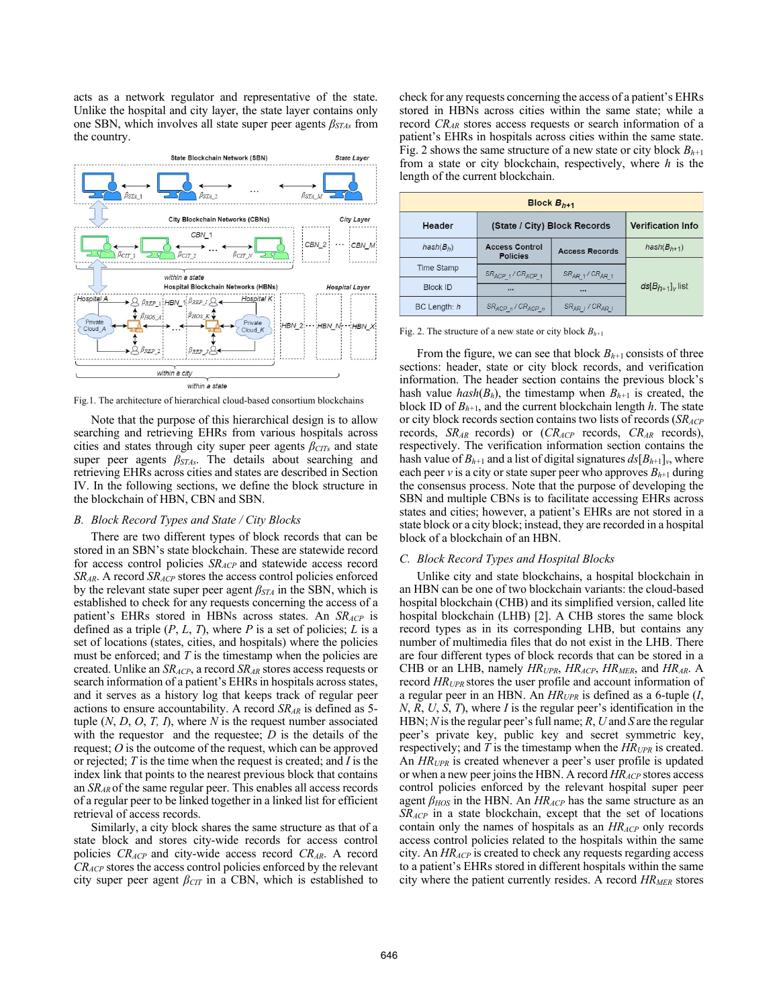acts as a network regulator and representative of the state. Unlike the hospital and city layer, the state layer contains only one SBN, which involves all state super peer agents *βSTAs* from the country.



Fig.1. The architecture of hierarchical cloud-based consortium blockchains

Note that the purpose of this hierarchical design is to allow searching and retrieving EHRs from various hospitals across cities and states through city super peer agents *βCITs* and state super peer agents *βSTAs*. The details about searching and retrieving EHRs across cities and states are described in Section IV. In the following sections, we define the block structure in the blockchain of HBN, CBN and SBN.

## *B. Block Record Types and State / City Blocks*

There are two different types of block records that can be stored in an SBN's state blockchain. These are statewide record for access control policies *SRACP* and statewide access record *SRAR*. A record *SRACP* stores the access control policies enforced by the relevant state super peer agent *βSTA* in the SBN, which is established to check for any requests concerning the access of a patient's EHRs stored in HBNs across states. An *SRACP* is defined as a triple  $(P, L, T)$ , where P is a set of policies; L is a set of locations (states, cities, and hospitals) where the policies must be enforced; and *T* is the timestamp when the policies are created. Unlike an *SRACP*, a record *SRAR* stores access requests or search information of a patient's EHRs in hospitals across states, and it serves as a history log that keeps track of regular peer actions to ensure accountability. A record  $SR_{AR}$  is defined as 5tuple  $(N, D, O, T, I)$ , where  $N$  is the request number associated with the requestor and the requestee; *D* is the details of the request; *O* is the outcome of the request, which can be approved or rejected; *T* is the time when the request is created; and *I* is the index link that points to the nearest previous block that contains an *SRAR* of the same regular peer. This enables all access records of a regular peer to be linked together in a linked list for efficient retrieval of access records.

Similarly, a city block shares the same structure as that of a state block and stores city-wide records for access control policies *CRACP* and city-wide access record *CRAR*. A record *CRACP* stores the access control policies enforced by the relevant city super peer agent *βCIT* in a CBN, which is established to check for any requests concerning the access of a patient's EHRs stored in HBNs across cities within the same state; while a record *CRAR* stores access requests or search information of a patient's EHRs in hospitals across cities within the same state. Fig. 2 shows the same structure of a new state or city block *Bh+*<sup>1</sup> from a state or city blockchain, respectively, where *h* is the length of the current blockchain.

| <b>Block <math>B_{h+1}</math></b> |                                          |                          |                      |  |  |  |
|-----------------------------------|------------------------------------------|--------------------------|----------------------|--|--|--|
| Header                            | (State / City) Block Records             | <b>Verification Info</b> |                      |  |  |  |
| $hash(B_h)$                       | <b>Access Control</b><br><b>Policies</b> | <b>Access Records</b>    | $hash(B_{h+1})$      |  |  |  |
| Time Stamp                        | $SR_{ACP-1}/CR_{ACP-1}$                  | $SR_{AR}$ 1/ $CR_{AR}$ 1 |                      |  |  |  |
| <b>Block ID</b>                   | $\cdots$                                 | $\cdots$                 | $ds[B_{h+1}]_V$ list |  |  |  |
| BC Length: h                      | $SR_{ACP}$ $n$ / $CR_{ACP}$ $n$          | $SR_{AR}$ / $CR_{AR}$ /  |                      |  |  |  |

Fig. 2. The structure of a new state or city block  $B_{h+1}$ 

From the figure, we can see that block  $B_{h+1}$  consists of three sections: header, state or city block records, and verification information. The header section contains the previous block's hash value  $hash(B_h)$ , the timestamp when  $B_{h+1}$  is created, the block ID of *Bh+*1, and the current blockchain length *h*. The state or city block records section contains two lists of records (*SRACP* records, *SRAR* records) or (*CRACP* records, *CRAR* records), respectively. The verification information section contains the hash value of  $B_{h+1}$  and a list of digital signatures  $ds[B_{h+1}]_v$ , where each peer *v* is a city or state super peer who approves  $B_{h+1}$  during the consensus process. Note that the purpose of developing the SBN and multiple CBNs is to facilitate accessing EHRs across states and cities; however, a patient's EHRs are not stored in a state block or a city block; instead, they are recorded in a hospital block of a blockchain of an HBN.

## *C. Block Record Types and Hospital Blocks*

Unlike city and state blockchains, a hospital blockchain in an HBN can be one of two blockchain variants: the cloud-based hospital blockchain (CHB) and its simplified version, called lite hospital blockchain (LHB) [2]. A CHB stores the same block record types as in its corresponding LHB, but contains any number of multimedia files that do not exist in the LHB. There are four different types of block records that can be stored in a CHB or an LHB, namely *HRUPR*, *HRACP*, *HRMER*, and *HRAR*. A record *HRUPR* stores the user profile and account information of a regular peer in an HBN. An *HRUPR* is defined as a 6-tuple (*I*, *N*, *R*, *U*, *S*, *T*), where *I* is the regular peer's identification in the HBN; *N* is the regular peer's full name; *R*, *U* and *S* are the regular peer's private key, public key and secret symmetric key, respectively; and *T* is the timestamp when the *HRUPR* is created. An *HRUPR* is created whenever a peer's user profile is updated or when a new peer joins the HBN. A record *HRACP* stores access control policies enforced by the relevant hospital super peer agent  $\beta_{HOS}$  in the HBN. An  $HR_{ACP}$  has the same structure as an *SRACP* in a state blockchain, except that the set of locations contain only the names of hospitals as an *HRACP* only records access control policies related to the hospitals within the same city. An *HRACP* is created to check any requests regarding access to a patient's EHRs stored in different hospitals within the same city where the patient currently resides. A record *HRMER* stores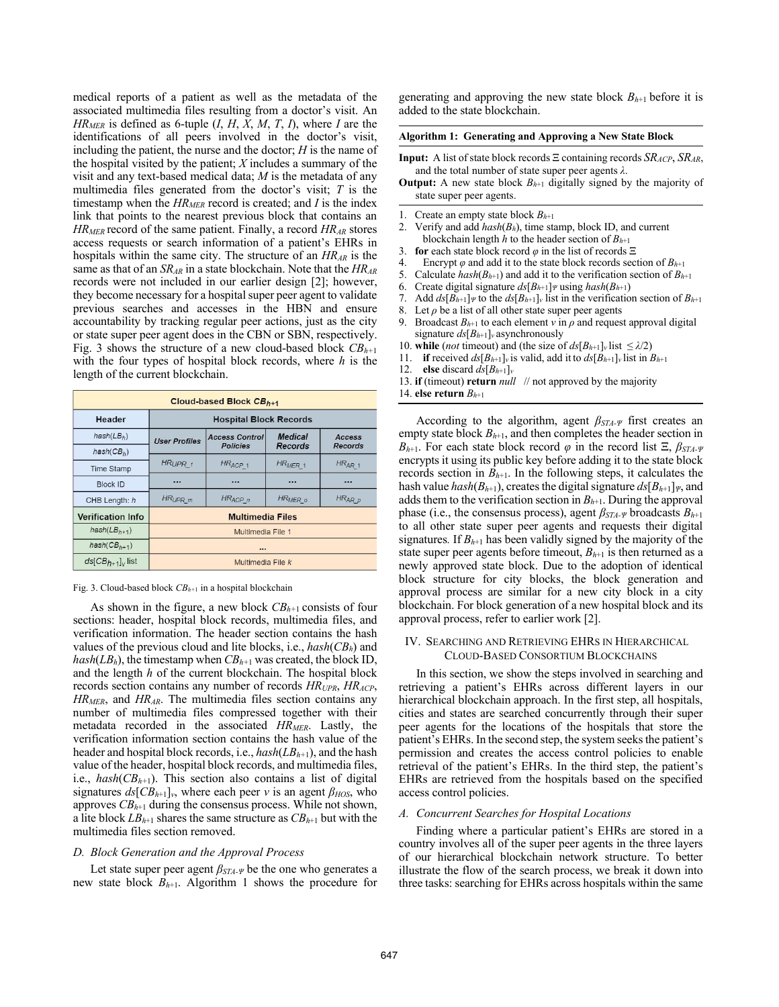medical reports of a patient as well as the metadata of the associated multimedia files resulting from a doctor's visit. An *HR<sub>MER</sub>* is defined as 6-tuple  $(I, H, X, M, T, I)$ , where *I* are the identifications of all peers involved in the doctor's visit, including the patient, the nurse and the doctor; *H* is the name of the hospital visited by the patient; *X* includes a summary of the visit and any text-based medical data; *M* is the metadata of any multimedia files generated from the doctor's visit; *T* is the timestamp when the *HRMER* record is created; and *I* is the index link that points to the nearest previous block that contains an *HRMER* record of the same patient. Finally, a record *HRAR* stores access requests or search information of a patient's EHRs in hospitals within the same city. The structure of an *HRAR* is the same as that of an *SRAR* in a state blockchain. Note that the *HRAR* records were not included in our earlier design [2]; however, they become necessary for a hospital super peer agent to validate previous searches and accesses in the HBN and ensure accountability by tracking regular peer actions, just as the city or state super peer agent does in the CBN or SBN, respectively. Fig. 3 shows the structure of a new cloud-based block  $CB_{h+1}$ with the four types of hospital block records, where *h* is the length of the current blockchain.

| Cloud-based Block CB <sub>h+1</sub> |                               |                                          |                     |                   |  |  |
|-------------------------------------|-------------------------------|------------------------------------------|---------------------|-------------------|--|--|
| Header                              | <b>Hospital Block Records</b> |                                          |                     |                   |  |  |
| $hash(LB_h)$                        | <b>User Profiles</b>          | <b>Access Control</b><br><b>Policies</b> | <b>Medical</b>      | Access<br>Records |  |  |
| $hash(CB_h)$                        |                               |                                          | Records             |                   |  |  |
| Time Stamp                          | HRUPR 1                       | HR <sub>ACP 1</sub>                      | $HR_{MER}$ 1        | $HR_{AR}$ 1       |  |  |
| <b>Block ID</b>                     |                               |                                          |                     |                   |  |  |
| CHB Length: h                       | HR <sub>UPR</sub> m           | HR <sub>ACP</sub> n                      | HR <sub>MER</sub> o | HRAR p            |  |  |
| <b>Verification Info</b>            | <b>Multimedia Files</b>       |                                          |                     |                   |  |  |
| $hash(LB_{h+1})$                    | Multimedia File 1             |                                          |                     |                   |  |  |
| $hash(CB_{h+1})$                    | 111                           |                                          |                     |                   |  |  |
| $ds[CB_{h+1}]_V$ list               | Multimedia File k             |                                          |                     |                   |  |  |

Fig. 3. Cloud-based block *CBh+*<sup>1</sup> in a hospital blockchain

As shown in the figure, a new block  $CB_{h+1}$  consists of four sections: header, hospital block records, multimedia files, and verification information. The header section contains the hash values of the previous cloud and lite blocks, i.e., *hash*(*CBh*) and  $hash(LB_h)$ , the timestamp when  $CB_{h+1}$  was created, the block ID, and the length *h* of the current blockchain. The hospital block records section contains any number of records *HRUPR*, *HRACP*, *HRMER*, and *HRAR*. The multimedia files section contains any number of multimedia files compressed together with their metadata recorded in the associated *HRMER*. Lastly, the verification information section contains the hash value of the header and hospital block records, i.e., *hash*(*LBh+*1), and the hash value of the header, hospital block records, and multimedia files, i.e., *hash*(*CBh+*1). This section also contains a list of digital signatures  $ds[CB_{h+1}]v$ , where each peer *v* is an agent  $\beta_{HOS}$ , who approves  $CB_{h+1}$  during the consensus process. While not shown, a lite block  $LB_{h+1}$  shares the same structure as  $CB_{h+1}$  but with the multimedia files section removed.

# *D. Block Generation and the Approval Process*

Let state super peer agent *βSTA-<sup>Ψ</sup>* be the one who generates a new state block  $B_{h+1}$ . Algorithm 1 shows the procedure for generating and approving the new state block  $B_{h+1}$  before it is added to the state blockchain.

#### **Algorithm 1: Generating and Approving a New State Block**

- **Input:** A list of state block records Ξ containing records *SRACP*, *SRAR*, and the total number of state super peer agents *λ*.
- **Output:** A new state block  $B_{h+1}$  digitally signed by the majority of state super peer agents.
- 1. Create an empty state block  $B_{h+1}$
- 2. Verify and add *hash*(*Bh*), time stamp, block ID, and current blockchain length  $h$  to the header section of  $B_{h+1}$
- 3. **for** each state block record  $\varphi$  in the list of records  $\Xi$ <br>4. Encrypt  $\varphi$  and add it to the state block records sec
- Encrypt  $\varphi$  and add it to the state block records section of  $B_{h+1}$
- 5. Calculate  $hash(B_{h+1})$  and add it to the verification section of  $B_{h+1}$
- 6. Create digital signature  $ds[B_{h+1}]$ *Ψ* using  $hash(B_{h+1})$
- 7. Add  $ds[B_{h+1}]\psi$  to the  $ds[B_{h+1}]\psi$  list in the verification section of  $B_{h+1}$
- 8. Let  $\rho$  be a list of all other state super peer agents
- 9. Broadcast  $B_{h+1}$  to each element  $v$  in  $\rho$  and request approval digital signature *ds*[*Bh*+1]*<sup>v</sup>* asynchronously
- 10. **while** (*not* timeout) and (the size of  $ds[B_{h+1}]_v$  list  $\leq \lambda/2$ )
- 11. **if** received  $ds[B_{h+1}]_y$  is valid, add it to  $ds[B_{h+1}]_y$  list in  $B_{h+1}$ <br>12. **else** discard  $ds[B_{h+1}]_y$
- else discard  $ds[B_{h+1}]_v$
- 13. **if** (timeout) **return** *null* // not approved by the majority
- 14. **else return** *Bh*+1

According to the algorithm, agent *βSTA-<sup>Ψ</sup>* first creates an empty state block *Bh*+1, and then completes the header section in *B<sub>h+1</sub>*. For each state block record  $\varphi$  in the record list Ξ,  $β_{STA\cdot\Psi}$ encrypts it using its public key before adding it to the state block records section in  $B_{h+1}$ . In the following steps, it calculates the hash value *hash*(*Bh*+1), creates the digital signature *ds*[*Bh*+1]*Ψ*, and adds them to the verification section in  $B_{h+1}$ . During the approval phase (i.e., the consensus process), agent *βSTA-<sup>Ψ</sup>* broadcasts *Bh*+1 to all other state super peer agents and requests their digital signatures. If  $B_{h+1}$  has been validly signed by the majority of the state super peer agents before timeout,  $B_{h+1}$  is then returned as a newly approved state block. Due to the adoption of identical block structure for city blocks, the block generation and approval process are similar for a new city block in a city blockchain. For block generation of a new hospital block and its approval process, refer to earlier work [2].

# IV. SEARCHING AND RETRIEVING EHRS IN HIERARCHICAL CLOUD-BASED CONSORTIUM BLOCKCHAINS

In this section, we show the steps involved in searching and retrieving a patient's EHRs across different layers in our hierarchical blockchain approach. In the first step, all hospitals, cities and states are searched concurrently through their super peer agents for the locations of the hospitals that store the patient's EHRs. In the second step, the system seeks the patient's permission and creates the access control policies to enable retrieval of the patient's EHRs. In the third step, the patient's EHRs are retrieved from the hospitals based on the specified access control policies.

## *A. Concurrent Searches for Hospital Locations*

Finding where a particular patient's EHRs are stored in a country involves all of the super peer agents in the three layers of our hierarchical blockchain network structure. To better illustrate the flow of the search process, we break it down into three tasks: searching for EHRs across hospitals within the same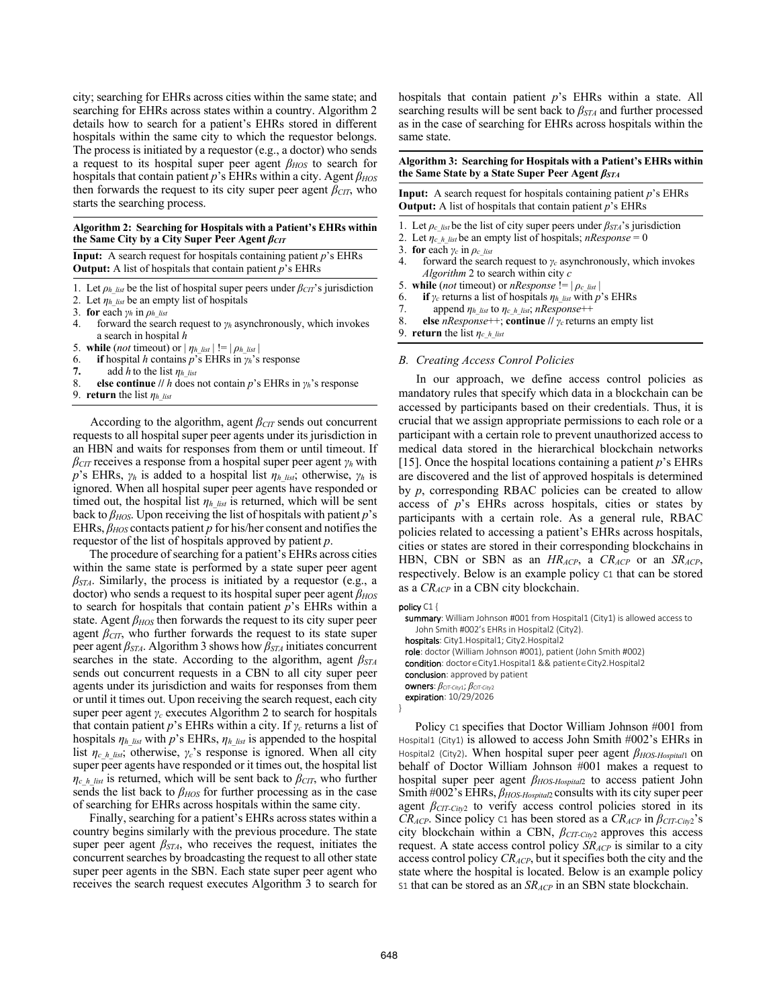city; searching for EHRs across cities within the same state; and searching for EHRs across states within a country. Algorithm 2 details how to search for a patient's EHRs stored in different hospitals within the same city to which the requestor belongs. The process is initiated by a requestor (e.g., a doctor) who sends a request to its hospital super peer agent *βHOS* to search for hospitals that contain patient *p*'s EHRs within a city. Agent *βHOS* then forwards the request to its city super peer agent  $\beta_{\text{CIT}}$ , who starts the searching process.

## **Algorithm 2: Searching for Hospitals with a Patient's EHRs within the Same City by a City Super Peer Agent** *βCIT*

**Input:** A search request for hospitals containing patient *p*'s EHRs **Output:** A list of hospitals that contain patient *p*'s EHRs

- 1. Let  $\rho_h$  list be the list of hospital super peers under  $\beta$ *CIT*'s jurisdiction
- 2. Let *ηh\_list* be an empty list of hospitals
- 3. **for** each  $\gamma_h$  in  $\rho_h$ \_list 4 forward the searc
- 4. forward the search request to *γ<sup>h</sup>* asynchronously, which invokes a search in hospital *h*
- 5. **while** (*not* timeout) or  $|\eta_h|$  *list*  $| := | \rho_h|$  *list*  $|$
- 6. **if** hospital *h* contains *p*'s EHRs in *γh*'s response
- **7.** add *h* to the list *ηh\_list*
- 8. **else continue //** *h* does not contain *p*'s EHRs in *γh*'s response
- 9. **return** the list *ηh\_list*

According to the algorithm, agent *βCIT* sends out concurrent requests to all hospital super peer agents under its jurisdiction in an HBN and waits for responses from them or until timeout. If *βCIT* receives a response from a hospital super peer agent *γ<sup>h</sup>* with *p*'s EHRs,  $\gamma_h$  is added to a hospital list  $\eta_h$  list, otherwise,  $\gamma_h$  is ignored. When all hospital super peer agents have responded or timed out, the hospital list  $\eta_h$  list is returned, which will be sent back to *βHOS*. Upon receiving the list of hospitals with patient *p*'s EHRs, *βHOS* contacts patient *p* for his/her consent and notifies the requestor of the list of hospitals approved by patient *p*.

The procedure of searching for a patient's EHRs across cities within the same state is performed by a state super peer agent  $\beta_{STA}$ . Similarly, the process is initiated by a requestor (e.g., a doctor) who sends a request to its hospital super peer agent *βHOS* to search for hospitals that contain patient *p*'s EHRs within a state. Agent  $\beta_{HOS}$  then forwards the request to its city super peer agent *βCIT*, who further forwards the request to its state super peer agent *βSTA*. Algorithm 3 shows how *βSTA* initiates concurrent searches in the state. According to the algorithm, agent *βSTA* sends out concurrent requests in a CBN to all city super peer agents under its jurisdiction and waits for responses from them or until it times out. Upon receiving the search request, each city super peer agent *γ<sup>c</sup>* executes Algorithm 2 to search for hospitals that contain patient  $p$ 's EHRs within a city. If  $\gamma_c$  returns a list of hospitals  $\eta_h$ <sub>list</sub> with *p*'s EHRs,  $\eta_h$ <sub>list</sub> is appended to the hospital list  $\eta_{c,h\_list}$ , otherwise,  $\gamma_c$ 's response is ignored. When all city super peer agents have responded or it times out, the hospital list  $\eta_c$ <sub>*h*</sub> list</sub> is returned, which will be sent back to  $\beta_{CIT}$ , who further sends the list back to *βHOS* for further processing as in the case of searching for EHRs across hospitals within the same city.

Finally, searching for a patient's EHRs across states within a country begins similarly with the previous procedure. The state super peer agent  $\beta_{STA}$ , who receives the request, initiates the concurrent searches by broadcasting the request to all other state super peer agents in the SBN. Each state super peer agent who receives the search request executes Algorithm 3 to search for hospitals that contain patient *p*'s EHRs within a state. All searching results will be sent back to *βSTA* and further processed as in the case of searching for EHRs across hospitals within the same state.

## **Algorithm 3: Searching for Hospitals with a Patient's EHRs within the Same State by a State Super Peer Agent** *βSTA*

**Input:** A search request for hospitals containing patient *p*'s EHRs **Output:** A list of hospitals that contain patient *p*'s EHRs

- 1. Let  $\rho_c$ <sub>*list*</sub> be the list of city super peers under  $\beta_{STA}$ 's jurisdiction
- 2. Let  $\eta_c$ <sub>h</sub> list be an empty list of hospitals;  $nResponse = 0$
- 3. **for** each *γ<sup>c</sup>* in *ρc\_list*
- 4. forward the search request to *γ<sup>c</sup>* asynchronously, which invokes *Algorithm* 2 to search within city *c*
- 5. **while** (*not* timeout) or *nResponse*  $!= | \rho_c |_{list} |$
- 6. **if**  $\gamma_c$  returns a list of hospitals  $\eta_h$ <sub>*list*</sub> with *p*'s EHRs
- 7. append  $\eta_h$  list to  $\eta_c$  *h* list;  $nResponse++$
- 8. **else** *nResponse*++; **continue //** *γ<sup>c</sup>* returns an empty list

9. **return** the list  $\eta_c$ <sub>h\_list</sub>

### *B. Creating Access Conrol Policies*

In our approach, we define access control policies as mandatory rules that specify which data in a blockchain can be accessed by participants based on their credentials. Thus, it is crucial that we assign appropriate permissions to each role or a participant with a certain role to prevent unauthorized access to medical data stored in the hierarchical blockchain networks [15]. Once the hospital locations containing a patient *p*'s EHRs are discovered and the list of approved hospitals is determined by *p*, corresponding RBAC policies can be created to allow access of *p*'s EHRs across hospitals, cities or states by participants with a certain role. As a general rule, RBAC policies related to accessing a patient's EHRs across hospitals, cities or states are stored in their corresponding blockchains in HBN, CBN or SBN as an *HRACP*, a *CRACP* or an *SRACP*, respectively. Below is an example policy C1 that can be stored as a *CRACP* in a CBN city blockchain.

#### policy C1 {

summary: William Johnson #001 from Hospital1 (City1) is allowed access to John Smith #002's EHRs in Hospital2 (City2). hospitals: City1.Hospital1; City2.Hospital2 role: doctor (William Johnson #001), patient (John Smith #002) condition: doctor e City1.Hospital1 && patient e City2.Hospital2 conclusion: approved by patient owners: *βCIT-City*1; *βCIT-City*<sup>2</sup> expiration: 10/29/2026 }

Policy  $C1$  specifies that Doctor William Johnson #001 from Hospital1 (City1) is allowed to access John Smith #002's EHRs in Hospital2 (City2). When hospital super peer agent *βHOS-Hospital*<sup>1</sup> on behalf of Doctor William Johnson #001 makes a request to hospital super peer agent *βHOS-Hospital*<sup>2</sup> to access patient John Smith #002's EHRs, *βHOS-Hospital*<sup>2</sup> consults with its city super peer agent *βCIT-City*<sup>2</sup> to verify access control policies stored in its *CR<sub>ACP</sub>*. Since policy  $C_1$  has been stored as a *CR<sub>ACP</sub>* in  $\beta_{CIT-City2}$ 's city blockchain within a CBN, *βCIT-City*<sup>2</sup> approves this access request. A state access control policy *SRACP* is similar to a city access control policy *CRACP*, but it specifies both the city and the state where the hospital is located. Below is an example policy S1 that can be stored as an *SRACP* in an SBN state blockchain.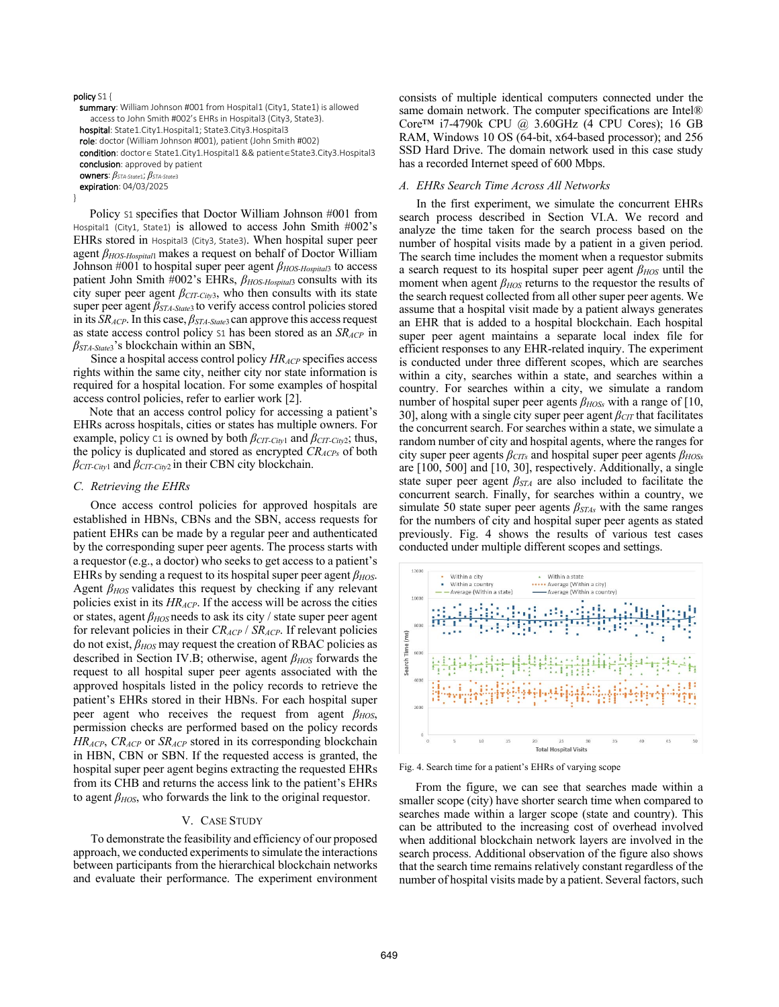#### policy S1 {

}

```
summary: William Johnson #001 from Hospital1 (City1, State1) is allowed
    access to John Smith #002's EHRs in Hospital3 (City3, State3). 
hospital: State1.City1.Hospital1; State3.City3.Hospital3
 role: doctor (William Johnson #001), patient (John Smith #002) 
condition: doctor e State1.City1.Hospital1 && patient e State3.City3.Hospital3
conclusion: approved by patient
 owners: βSTA-State1; βSTA-State3
```
expiration: 04/03/2025

Policy S1 specifies that Doctor William Johnson #001 from Hospital1 (City1, State1) is allowed to access John Smith  $#002$ 's EHRs stored in Hospital3 (City3, State3). When hospital super peer agent *βHOS-Hospital*<sup>1</sup> makes a request on behalf of Doctor William Johnson #001 to hospital super peer agent *βHOS-Hospital*<sup>3</sup> to access patient John Smith #002's EHRs, *βHOS-Hospital*<sup>3</sup> consults with its city super peer agent *βCIT-City*3, who then consults with its state super peer agent *βSTA-State*<sup>3</sup> to verify access control policies stored in its *SRACP*. In this case, *βSTA-State*<sup>3</sup> can approve this access request as state access control policy S1 has been stored as an *SRACP* in *βSTA-State*3's blockchain within an SBN,

Since a hospital access control policy *HRACP* specifies access rights within the same city, neither city nor state information is required for a hospital location. For some examples of hospital access control policies, refer to earlier work [2].

Note that an access control policy for accessing a patient's EHRs across hospitals, cities or states has multiple owners. For example, policy C1 is owned by both *βCIT-City*<sup>1</sup> and *βCIT-City*2; thus, the policy is duplicated and stored as encrypted *CRACPs* of both *βCIT-City*<sup>1</sup> and *βCIT-City*<sup>2</sup> in their CBN city blockchain.

# *C. Retrieving the EHRs*

Once access control policies for approved hospitals are established in HBNs, CBNs and the SBN, access requests for patient EHRs can be made by a regular peer and authenticated by the corresponding super peer agents. The process starts with a requestor (e.g., a doctor) who seeks to get access to a patient's EHRs by sending a request to its hospital super peer agent *βHOS*. Agent *βHOS* validates this request by checking if any relevant policies exist in its *HRACP*. If the access will be across the cities or states, agent *βHOS* needs to ask its city / state super peer agent for relevant policies in their *CRACP* / *SRACP*. If relevant policies do not exist, *βHOS* may request the creation of RBAC policies as described in Section IV.B; otherwise, agent *βHOS* forwards the request to all hospital super peer agents associated with the approved hospitals listed in the policy records to retrieve the patient's EHRs stored in their HBNs. For each hospital super peer agent who receives the request from agent *βHOS*, permission checks are performed based on the policy records *HRACP*, *CRACP* or *SRACP* stored in its corresponding blockchain in HBN, CBN or SBN. If the requested access is granted, the hospital super peer agent begins extracting the requested EHRs from its CHB and returns the access link to the patient's EHRs to agent *βHOS*, who forwards the link to the original requestor.

## V. CASE STUDY

To demonstrate the feasibility and efficiency of our proposed approach, we conducted experiments to simulate the interactions between participants from the hierarchical blockchain networks and evaluate their performance. The experiment environment consists of multiple identical computers connected under the same domain network. The computer specifications are Intel® Core<sup>TM</sup> i7-4790k CPU @ 3.60GHz (4 CPU Cores); 16 GB RAM, Windows 10 OS (64-bit, x64-based processor); and 256 SSD Hard Drive. The domain network used in this case study has a recorded Internet speed of 600 Mbps.

#### *A. EHRs Search Time Across All Networks*

In the first experiment, we simulate the concurrent EHRs search process described in Section VI.A. We record and analyze the time taken for the search process based on the number of hospital visits made by a patient in a given period. The search time includes the moment when a requestor submits a search request to its hospital super peer agent *βHOS* until the moment when agent *βHOS* returns to the requestor the results of the search request collected from all other super peer agents. We assume that a hospital visit made by a patient always generates an EHR that is added to a hospital blockchain. Each hospital super peer agent maintains a separate local index file for efficient responses to any EHR-related inquiry. The experiment is conducted under three different scopes, which are searches within a city, searches within a state, and searches within a country. For searches within a city, we simulate a random number of hospital super peer agents *βHOSs* with a range of [10, 30], along with a single city super peer agent *βCIT* that facilitates the concurrent search. For searches within a state, we simulate a random number of city and hospital agents, where the ranges for city super peer agents *βCITs* and hospital super peer agents *βHOSs* are [100, 500] and [10, 30], respectively. Additionally, a single state super peer agent *βSTA* are also included to facilitate the concurrent search. Finally, for searches within a country, we simulate 50 state super peer agents *βSTAs* with the same ranges for the numbers of city and hospital super peer agents as stated previously. Fig. 4 shows the results of various test cases conducted under multiple different scopes and settings.



Fig. 4. Search time for a patient's EHRs of varying scope

From the figure, we can see that searches made within a smaller scope (city) have shorter search time when compared to searches made within a larger scope (state and country). This can be attributed to the increasing cost of overhead involved when additional blockchain network layers are involved in the search process. Additional observation of the figure also shows that the search time remains relatively constant regardless of the number of hospital visits made by a patient. Several factors, such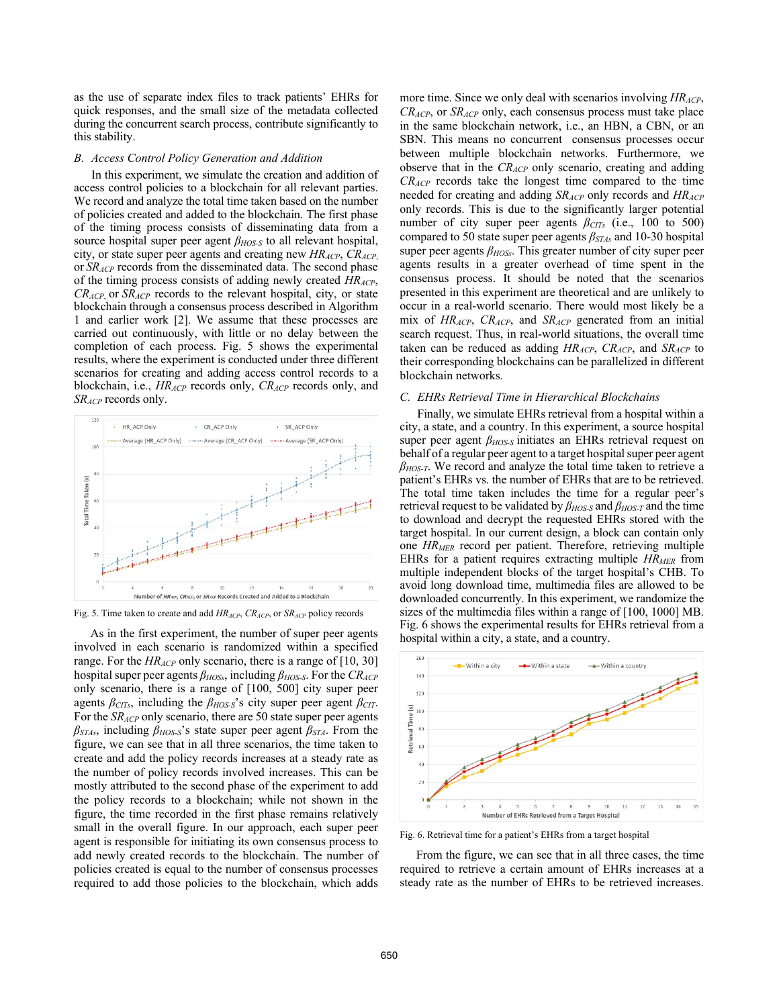as the use of separate index files to track patients' EHRs for quick responses, and the small size of the metadata collected during the concurrent search process, contribute significantly to this stability.

#### *B. Access Control Policy Generation and Addition*

In this experiment, we simulate the creation and addition of access control policies to a blockchain for all relevant parties. We record and analyze the total time taken based on the number of policies created and added to the blockchain. The first phase of the timing process consists of disseminating data from a source hospital super peer agent *βHOS-S* to all relevant hospital, city, or state super peer agents and creating new *HRACP*, *CRACP*, or *SRACP* records from the disseminated data. The second phase of the timing process consists of adding newly created *HRACP*, *CRACP*, or *SRACP* records to the relevant hospital, city, or state blockchain through a consensus process described in Algorithm 1 and earlier work [2]. We assume that these processes are carried out continuously, with little or no delay between the completion of each process. Fig. 5 shows the experimental results, where the experiment is conducted under three different scenarios for creating and adding access control records to a blockchain, i.e., *HRACP* records only, *CRACP* records only, and *SRACP* records only.



Fig. 5. Time taken to create and add  $HR_{ACP}$ ,  $CR_{ACP}$ , or  $SR_{ACP}$  policy records

As in the first experiment, the number of super peer agents involved in each scenario is randomized within a specified range. For the *HR<sub>ACP</sub>* only scenario, there is a range of [10, 30] hospital super peer agents *βHOSs*, including *βHOS-S*. For the *CRACP* only scenario, there is a range of [100, 500] city super peer agents  $\beta_{\text{CITs}}$ , including the  $\beta_{\text{HOS-S}}$ 's city super peer agent  $\beta_{\text{CIT}}$ . For the *SRACP* only scenario, there are 50 state super peer agents *βSTAs*, including *βHOS-S*'s state super peer agent *βSTA*. From the figure, we can see that in all three scenarios, the time taken to create and add the policy records increases at a steady rate as the number of policy records involved increases. This can be mostly attributed to the second phase of the experiment to add the policy records to a blockchain; while not shown in the figure, the time recorded in the first phase remains relatively small in the overall figure. In our approach, each super peer agent is responsible for initiating its own consensus process to add newly created records to the blockchain. The number of policies created is equal to the number of consensus processes required to add those policies to the blockchain, which adds

more time. Since we only deal with scenarios involving *HRACP*, *CRACP*, or *SRACP* only, each consensus process must take place in the same blockchain network, i.e., an HBN, a CBN, or an SBN. This means no concurrent consensus processes occur between multiple blockchain networks. Furthermore, we observe that in the *CRACP* only scenario, creating and adding *CRACP* records take the longest time compared to the time needed for creating and adding *SRACP* only records and *HRACP* only records. This is due to the significantly larger potential number of city super peer agents *βCITs* (i.e., 100 to 500) compared to 50 state super peer agents *βSTAs* and 10-30 hospital super peer agents *βHOSs*. This greater number of city super peer agents results in a greater overhead of time spent in the consensus process. It should be noted that the scenarios presented in this experiment are theoretical and are unlikely to occur in a real-world scenario. There would most likely be a mix of *HRACP*, *CRACP*, and *SRACP* generated from an initial search request. Thus, in real-world situations, the overall time taken can be reduced as adding *HRACP*, *CRACP*, and *SRACP* to their corresponding blockchains can be parallelized in different blockchain networks.

## *C. EHRs Retrieval Time in Hierarchical Blockchains*

Finally, we simulate EHRs retrieval from a hospital within a city, a state, and a country. In this experiment, a source hospital super peer agent *βHOS-S* initiates an EHRs retrieval request on behalf of a regular peer agent to a target hospital super peer agent *βHOS-T*. We record and analyze the total time taken to retrieve a patient's EHRs vs. the number of EHRs that are to be retrieved. The total time taken includes the time for a regular peer's retrieval request to be validated by *βHOS-S* and *βHOS-T* and the time to download and decrypt the requested EHRs stored with the target hospital. In our current design, a block can contain only one *HRMER* record per patient. Therefore, retrieving multiple EHRs for a patient requires extracting multiple *HRMER* from multiple independent blocks of the target hospital's CHB. To avoid long download time, multimedia files are allowed to be downloaded concurrently. In this experiment, we randomize the sizes of the multimedia files within a range of [100, 1000] MB. Fig. 6 shows the experimental results for EHRs retrieval from a hospital within a city, a state, and a country.



Fig. 6. Retrieval time for a patient's EHRs from a target hospital

From the figure, we can see that in all three cases, the time required to retrieve a certain amount of EHRs increases at a steady rate as the number of EHRs to be retrieved increases.